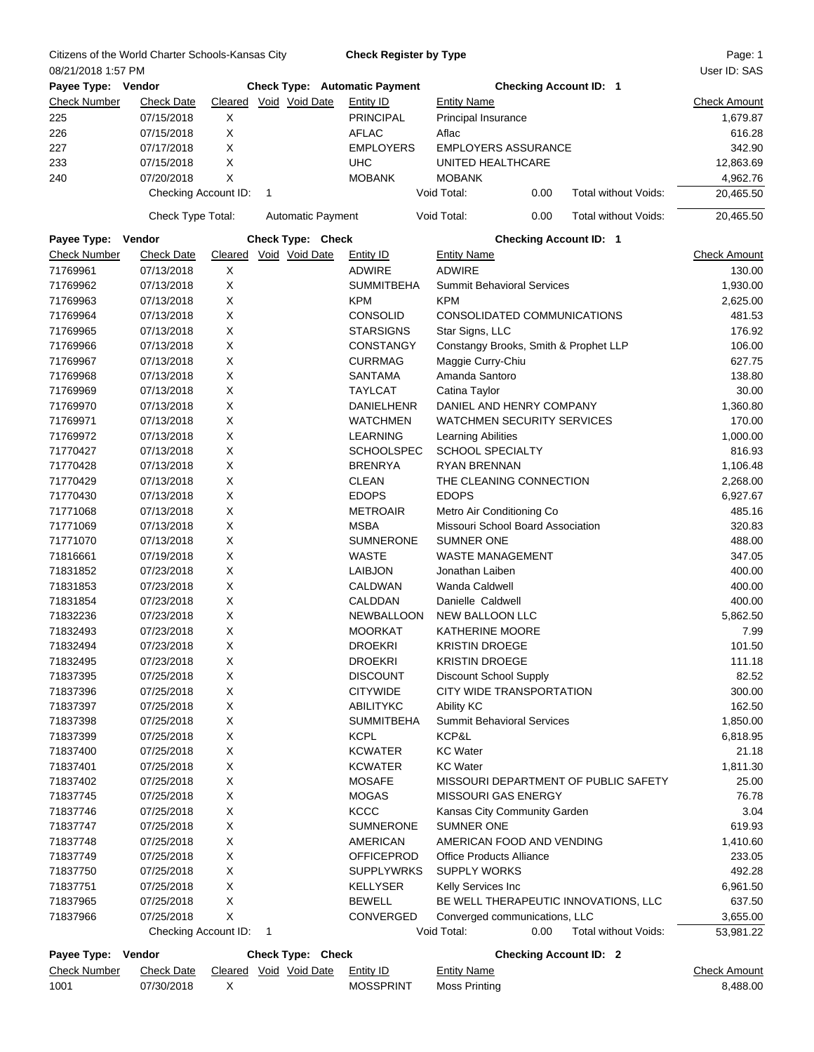|                     | Citizens of the World Charter Schools-Kansas City |   |   |                          | <b>Check Register by Type</b>        |                       |                                       |                                      | Page: 1             |
|---------------------|---------------------------------------------------|---|---|--------------------------|--------------------------------------|-----------------------|---------------------------------------|--------------------------------------|---------------------|
| 08/21/2018 1:57 PM  |                                                   |   |   |                          |                                      |                       |                                       |                                      | User ID: SAS        |
| Payee Type: Vendor  |                                                   |   |   |                          | <b>Check Type: Automatic Payment</b> |                       | <b>Checking Account ID: 1</b>         |                                      |                     |
| <b>Check Number</b> | <b>Check Date</b>                                 |   |   | Cleared Void Void Date   | Entity ID                            | <b>Entity Name</b>    |                                       |                                      | <b>Check Amount</b> |
| 225                 | 07/15/2018                                        | X |   |                          | <b>PRINCIPAL</b>                     | Principal Insurance   |                                       |                                      | 1,679.87            |
| 226                 | 07/15/2018                                        | X |   |                          | <b>AFLAC</b>                         | Aflac                 |                                       |                                      | 616.28              |
| 227                 | 07/17/2018                                        | X |   |                          | <b>EMPLOYERS</b>                     |                       | <b>EMPLOYERS ASSURANCE</b>            |                                      | 342.90              |
| 233                 | 07/15/2018                                        | X |   |                          | <b>UHC</b>                           |                       | UNITED HEALTHCARE                     |                                      | 12,863.69           |
| 240                 | 07/20/2018                                        | X |   |                          | <b>MOBANK</b>                        | <b>MOBANK</b>         |                                       |                                      | 4,962.76            |
|                     | Checking Account ID:                              |   | 1 |                          |                                      | Void Total:           | 0.00                                  | Total without Voids:                 | 20,465.50           |
|                     |                                                   |   |   |                          |                                      |                       |                                       |                                      |                     |
|                     | Check Type Total:                                 |   |   | <b>Automatic Payment</b> |                                      | Void Total:           | 0.00                                  | Total without Voids:                 | 20,465.50           |
| Payee Type:         | Vendor                                            |   |   | <b>Check Type: Check</b> |                                      |                       | <b>Checking Account ID: 1</b>         |                                      |                     |
| <b>Check Number</b> | <b>Check Date</b>                                 |   |   | Cleared Void Void Date   | <b>Entity ID</b>                     | <b>Entity Name</b>    |                                       |                                      | <b>Check Amount</b> |
| 71769961            | 07/13/2018                                        | X |   |                          | <b>ADWIRE</b>                        | <b>ADWIRE</b>         |                                       |                                      | 130.00              |
| 71769962            | 07/13/2018                                        | X |   |                          | <b>SUMMITBEHA</b>                    |                       | <b>Summit Behavioral Services</b>     |                                      | 1,930.00            |
| 71769963            | 07/13/2018                                        | X |   |                          | <b>KPM</b>                           | <b>KPM</b>            |                                       |                                      | 2,625.00            |
| 71769964            | 07/13/2018                                        | X |   |                          | <b>CONSOLID</b>                      |                       | CONSOLIDATED COMMUNICATIONS           |                                      | 481.53              |
| 71769965            | 07/13/2018                                        | X |   |                          | <b>STARSIGNS</b>                     | Star Signs, LLC       |                                       |                                      | 176.92              |
| 71769966            | 07/13/2018                                        | X |   |                          | <b>CONSTANGY</b>                     |                       | Constangy Brooks, Smith & Prophet LLP |                                      | 106.00              |
| 71769967            | 07/13/2018                                        | X |   |                          | <b>CURRMAG</b>                       | Maggie Curry-Chiu     |                                       |                                      | 627.75              |
| 71769968            | 07/13/2018                                        | X |   |                          | <b>SANTAMA</b>                       | Amanda Santoro        |                                       |                                      | 138.80              |
| 71769969            | 07/13/2018                                        | X |   |                          | <b>TAYLCAT</b>                       | Catina Taylor         |                                       |                                      | 30.00               |
| 71769970            | 07/13/2018                                        | X |   |                          | <b>DANIELHENR</b>                    |                       | DANIEL AND HENRY COMPANY              |                                      | 1,360.80            |
|                     |                                                   |   |   |                          |                                      |                       | <b>WATCHMEN SECURITY SERVICES</b>     |                                      | 170.00              |
| 71769971            | 07/13/2018                                        | X |   |                          | <b>WATCHMEN</b>                      |                       |                                       |                                      |                     |
| 71769972            | 07/13/2018                                        | X |   |                          | <b>LEARNING</b>                      | Learning Abilities    |                                       |                                      | 1,000.00            |
| 71770427            | 07/13/2018                                        | X |   |                          | <b>SCHOOLSPEC</b>                    |                       | <b>SCHOOL SPECIALTY</b>               |                                      | 816.93              |
| 71770428            | 07/13/2018                                        | Χ |   |                          | <b>BRENRYA</b>                       | RYAN BRENNAN          |                                       |                                      | 1,106.48            |
| 71770429            | 07/13/2018                                        | X |   |                          | <b>CLEAN</b>                         |                       | THE CLEANING CONNECTION               |                                      | 2,268.00            |
| 71770430            | 07/13/2018                                        | X |   |                          | <b>EDOPS</b>                         | <b>EDOPS</b>          |                                       |                                      | 6,927.67            |
| 71771068            | 07/13/2018                                        | X |   |                          | <b>METROAIR</b>                      |                       | Metro Air Conditioning Co             |                                      | 485.16              |
| 71771069            | 07/13/2018                                        | Χ |   |                          | <b>MSBA</b>                          |                       | Missouri School Board Association     |                                      | 320.83              |
| 71771070            | 07/13/2018                                        | X |   |                          | <b>SUMNERONE</b>                     | <b>SUMNER ONE</b>     |                                       |                                      | 488.00              |
| 71816661            | 07/19/2018                                        | X |   |                          | <b>WASTE</b>                         |                       | <b>WASTE MANAGEMENT</b>               |                                      | 347.05              |
| 71831852            | 07/23/2018                                        | X |   |                          | <b>LAIBJON</b>                       | Jonathan Laiben       |                                       |                                      | 400.00              |
| 71831853            | 07/23/2018                                        | Χ |   |                          | CALDWAN                              | Wanda Caldwell        |                                       |                                      | 400.00              |
| 71831854            | 07/23/2018                                        | X |   |                          | CALDDAN                              | Danielle Caldwell     |                                       |                                      | 400.00              |
| 71832236            | 07/23/2018                                        | X |   |                          | <b>NEWBALLOON</b>                    |                       | NEW BALLOON LLC                       |                                      | 5,862.50            |
| 71832493            | 07/23/2018                                        | X |   |                          | <b>MOORKAT</b>                       |                       | <b>KATHERINE MOORE</b>                |                                      | 7.99                |
| 71832494            | 07/23/2018                                        | X |   |                          | <b>DROEKRI</b>                       | <b>KRISTIN DROEGE</b> |                                       |                                      | 101.50              |
| 71832495            | 07/23/2018                                        | X |   |                          | <b>DROEKRI</b>                       | <b>KRISTIN DROEGE</b> |                                       |                                      | 111.18              |
| 71837395            | 07/25/2018                                        | X |   |                          | <b>DISCOUNT</b>                      |                       | <b>Discount School Supply</b>         |                                      | 82.52               |
| 71837396            | 07/25/2018                                        | X |   |                          | <b>CITYWIDE</b>                      |                       | CITY WIDE TRANSPORTATION              |                                      | 300.00              |
| 71837397            | 07/25/2018                                        | X |   |                          | <b>ABILITYKC</b>                     | <b>Ability KC</b>     |                                       |                                      | 162.50              |
| 71837398            | 07/25/2018                                        | X |   |                          | <b>SUMMITBEHA</b>                    |                       |                                       |                                      | 1,850.00            |
|                     |                                                   |   |   |                          |                                      |                       | <b>Summit Behavioral Services</b>     |                                      |                     |
| 71837399            | 07/25/2018                                        | X |   |                          | <b>KCPL</b>                          | KCP&L                 |                                       |                                      | 6,818.95            |
| 71837400            | 07/25/2018                                        | X |   |                          | <b>KCWATER</b>                       | <b>KC</b> Water       |                                       |                                      | 21.18               |
| 71837401            | 07/25/2018                                        | X |   |                          | <b>KCWATER</b>                       | <b>KC</b> Water       |                                       |                                      | 1,811.30            |
| 71837402            | 07/25/2018                                        | X |   |                          | <b>MOSAFE</b>                        |                       |                                       | MISSOURI DEPARTMENT OF PUBLIC SAFETY | 25.00               |
| 71837745            | 07/25/2018                                        | X |   |                          | <b>MOGAS</b>                         |                       | MISSOURI GAS ENERGY                   |                                      | 76.78               |
| 71837746            | 07/25/2018                                        | X |   |                          | <b>KCCC</b>                          |                       | Kansas City Community Garden          |                                      | 3.04                |
| 71837747            | 07/25/2018                                        | X |   |                          | <b>SUMNERONE</b>                     | SUMNER ONE            |                                       |                                      | 619.93              |
| 71837748            | 07/25/2018                                        | X |   |                          | <b>AMERICAN</b>                      |                       | AMERICAN FOOD AND VENDING             |                                      | 1,410.60            |
| 71837749            | 07/25/2018                                        | X |   |                          | <b>OFFICEPROD</b>                    |                       | Office Products Alliance              |                                      | 233.05              |
| 71837750            | 07/25/2018                                        | X |   |                          | <b>SUPPLYWRKS</b>                    | <b>SUPPLY WORKS</b>   |                                       |                                      | 492.28              |
| 71837751            | 07/25/2018                                        | X |   |                          | <b>KELLYSER</b>                      | Kelly Services Inc    |                                       |                                      | 6,961.50            |
| 71837965            | 07/25/2018                                        | X |   |                          | <b>BEWELL</b>                        |                       |                                       | BE WELL THERAPEUTIC INNOVATIONS, LLC | 637.50              |
| 71837966            | 07/25/2018                                        | X |   |                          | CONVERGED                            |                       | Converged communications, LLC         |                                      | 3,655.00            |
|                     | Checking Account ID:                              |   | 1 |                          |                                      | Void Total:           | 0.00                                  | Total without Voids:                 | 53,981.22           |
| Payee Type:         | Vendor                                            |   |   | Check Type: Check        |                                      |                       | <b>Checking Account ID: 2</b>         |                                      |                     |
|                     |                                                   |   |   |                          |                                      |                       |                                       |                                      |                     |

|      |            | Check Number Check Date Cleared Void Void Date Entity ID |                  | <b>Entity Name</b> | <b>Check Amount</b> |
|------|------------|----------------------------------------------------------|------------------|--------------------|---------------------|
| 1001 | 07/30/2018 |                                                          | <b>MOSSPRINT</b> | Moss Printing      | 8.488.00            |